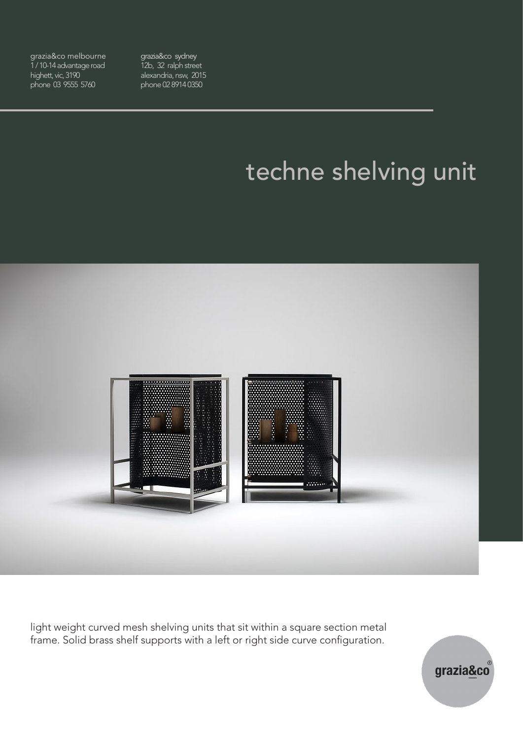grazia&co melbourne 1 / 10-14 advantage road highett, vic, 3190 phone 03 9555 5760

grazia&co sydney 12b, 32 ralph street alexandria, nsw, 2015 phone 02 8914 0350

# techne shelving unit



light weight curved mesh shelving units that sit within a square section metal frame. Solid brass shelf supports with a left or right side curve configuration.

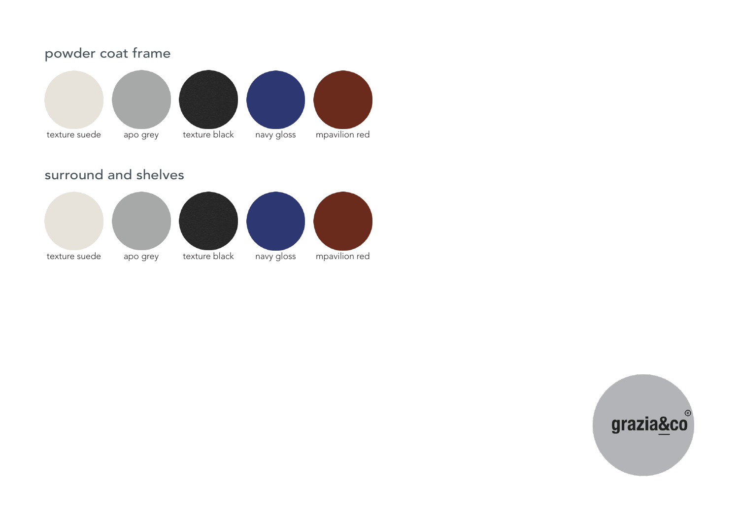# texture suede apo grey texture black navy gloss mpavilion red powder coat frame texture black

### surround and shelves



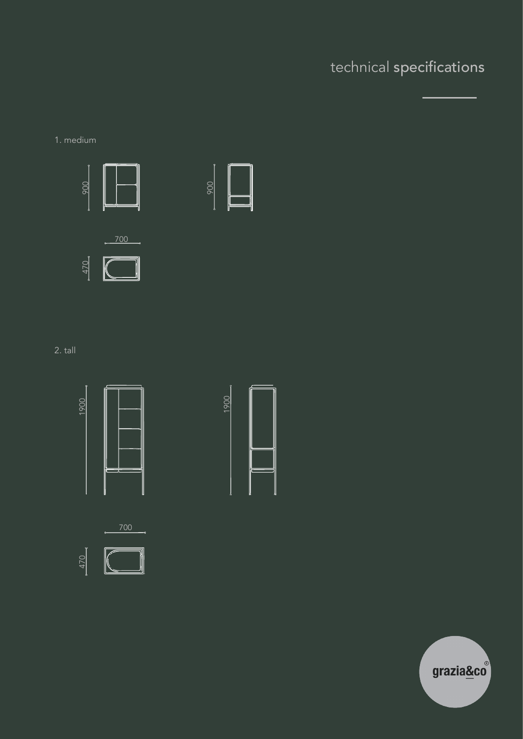## technical specifications

### 1. medium





### 2. tall





 $\begin{picture}(130,10) \put(0,0){\line(1,0){10}} \put(15,0){\line(1,0){10}} \put(15,0){\line(1,0){10}} \put(15,0){\line(1,0){10}} \put(15,0){\line(1,0){10}} \put(15,0){\line(1,0){10}} \put(15,0){\line(1,0){10}} \put(15,0){\line(1,0){10}} \put(15,0){\line(1,0){10}} \put(15,0){\line(1,0){10}} \put(15,0){\line(1,0){10}} \put(15,0){\line($ 



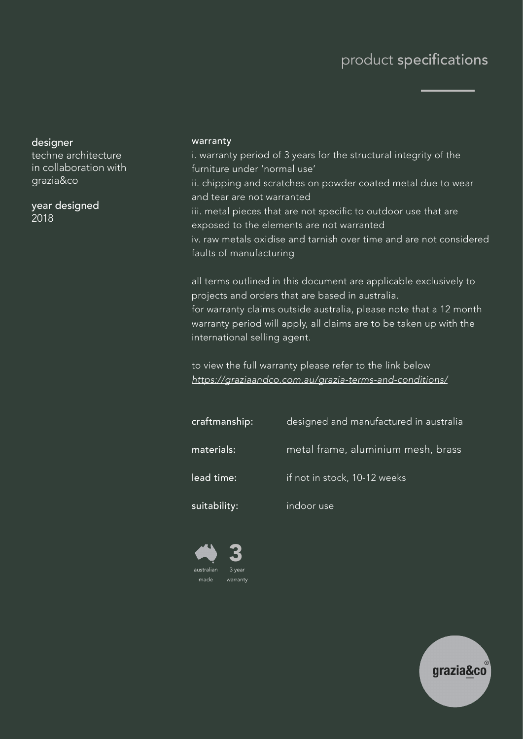### product specifications

### designer

techne architecture in collaboration with grazia&co

year designed 2018

#### warranty

i. warranty period of 3 years for the structural integrity of the furniture under 'normal use' ii. chipping and scratches on powder coated metal due to wear and tear are not warranted iii. metal pieces that are not specific to outdoor use that are exposed to the elements are not warranted iv. raw metals oxidise and tarnish over time and are not considered faults of manufacturing

all terms outlined in this document are applicable exclusively to projects and orders that are based in australia. for warranty claims outside australia, please note that a 12 month warranty period will apply, all claims are to be taken up with the international selling agent.

to view the full warranty please refer to the link below *https://graziaandco.com.au/grazia-terms-and-conditions/*

| craftmanship: | designed and manufactured in australia |
|---------------|----------------------------------------|
| materials:    | metal frame, aluminium mesh, brass     |
| lead time:    | if not in stock, 10-12 weeks           |
| suitability:  | indoor use                             |